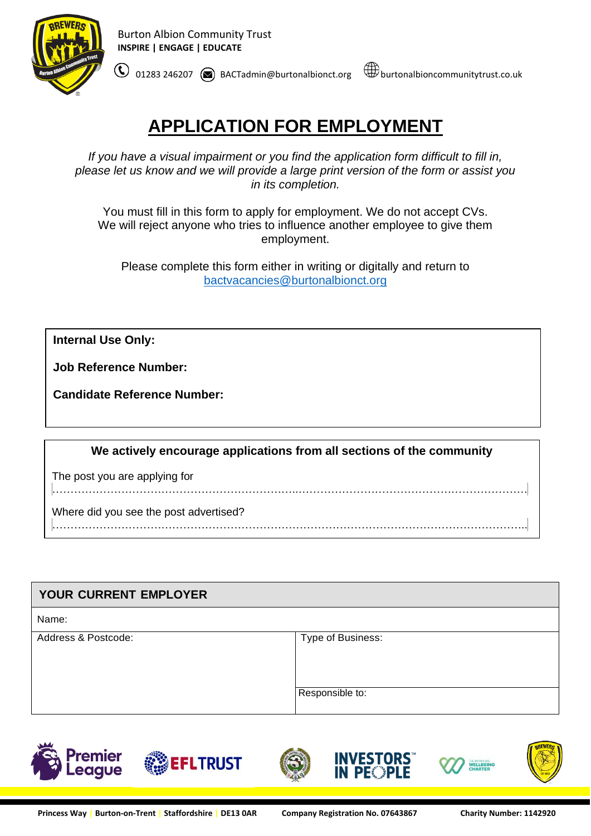

# **APPLICATION FOR EMPLOYMENT**

*If you have a visual impairment or you find the application form difficult to fill in, please let us know and we will provide a large print version of the form or assist you in its completion.*

You must fill in this form to apply for employment. We do not accept CVs. We will reject anyone who tries to influence another employee to give them employment.

Please complete this form either in writing or digitally and return to [bactvacancies@burtonalbionct.org](mailto:bactvacancies@burtonalbionct.org)

**Internal Use Only:**

**Job Reference Number:**

**Candidate Reference Number:** 

**We actively encourage applications from all sections of the community**

…………………………………………………………..………………………………………………………

The post you are applying for

Where did you see the post advertised?

…………………………………………………………………………………………………………………..

| YOUR CURRENT EMPLOYER |                   |  |
|-----------------------|-------------------|--|
| Name:                 |                   |  |
| Address & Postcode:   | Type of Business: |  |
|                       | Responsible to:   |  |

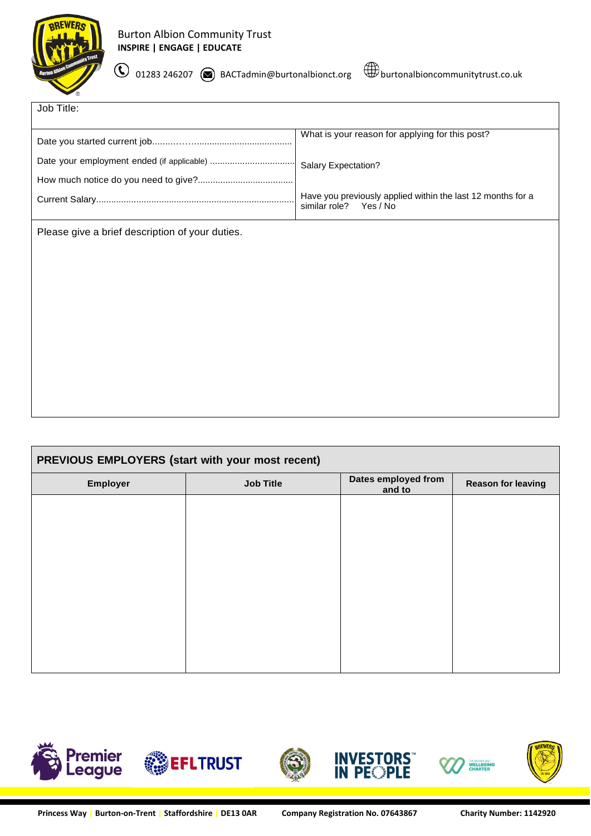

 $\bigcirc$  01283 246207 BACTadmin@burtonalbionct.org  $\bigcirc$  burtonalbioncommunitytrust.co.uk



| Job Title:                                      |                                                                                          |
|-------------------------------------------------|------------------------------------------------------------------------------------------|
|                                                 | What is your reason for applying for this post?                                          |
|                                                 | Salary Expectation?                                                                      |
|                                                 |                                                                                          |
|                                                 | Have you previously applied within the last 12 months for a<br>similar role?<br>Yes / No |
| Please give a brief description of your duties. |                                                                                          |
|                                                 |                                                                                          |
|                                                 |                                                                                          |
|                                                 |                                                                                          |
|                                                 |                                                                                          |
|                                                 |                                                                                          |
|                                                 |                                                                                          |
|                                                 |                                                                                          |

| PREVIOUS EMPLOYERS (start with your most recent) |                  |                               |                           |
|--------------------------------------------------|------------------|-------------------------------|---------------------------|
| Employer                                         | <b>Job Title</b> | Dates employed from<br>and to | <b>Reason for leaving</b> |
|                                                  |                  |                               |                           |
|                                                  |                  |                               |                           |
|                                                  |                  |                               |                           |
|                                                  |                  |                               |                           |
|                                                  |                  |                               |                           |
|                                                  |                  |                               |                           |
|                                                  |                  |                               |                           |
|                                                  |                  |                               |                           |

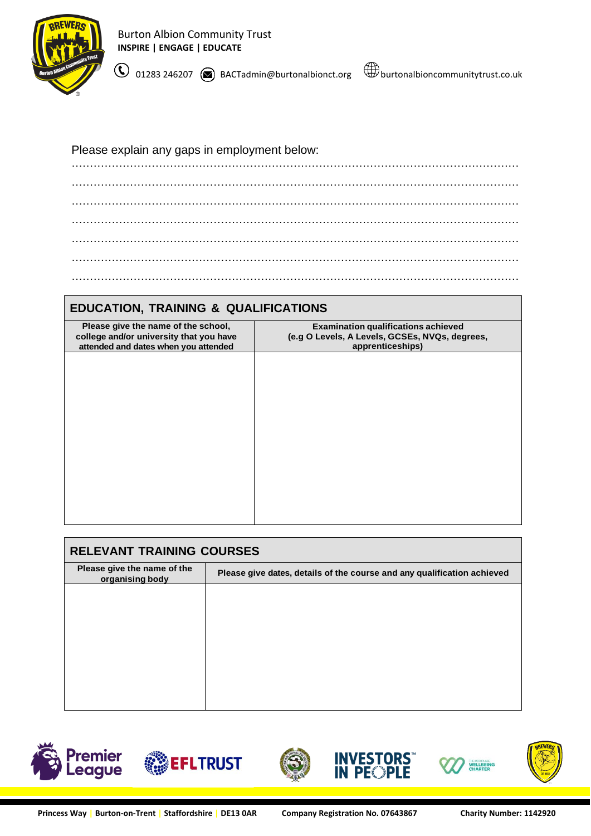

Burton Albion Community Trust **INSPIRE | ENGAGE | EDUCATE**

 $\bigodot$  01283 246207  $\bigcircledast$  BACTadmin@burtonalbionct.org  $\bigcircledast$  burtonalbioncommunitytrust.co.uk

Please explain any gaps in employment below:

…………………………………………………………………………………………………………… …………………………………………………………………………………………………………… …………………………………………………………………………………………………………… …………………………………………………………………………………………………………… …………………………………………………………………………………………………………… …………………………………………………………………………………………………………… ……………………………………………………………………………………………………………

# **EDUCATION, TRAINING & QUALIFICATIONS**

| <b>Examination qualifications achieved</b><br>Please give the name of the school,<br>(e.g O Levels, A Levels, GCSEs, NVQs, degrees,<br>college and/or university that you have<br>apprenticeships)<br>attended and dates when you attended |
|--------------------------------------------------------------------------------------------------------------------------------------------------------------------------------------------------------------------------------------------|
|                                                                                                                                                                                                                                            |
|                                                                                                                                                                                                                                            |
|                                                                                                                                                                                                                                            |
|                                                                                                                                                                                                                                            |
|                                                                                                                                                                                                                                            |
|                                                                                                                                                                                                                                            |
|                                                                                                                                                                                                                                            |
|                                                                                                                                                                                                                                            |
|                                                                                                                                                                                                                                            |
|                                                                                                                                                                                                                                            |
|                                                                                                                                                                                                                                            |
|                                                                                                                                                                                                                                            |
|                                                                                                                                                                                                                                            |
|                                                                                                                                                                                                                                            |
|                                                                                                                                                                                                                                            |
|                                                                                                                                                                                                                                            |
|                                                                                                                                                                                                                                            |
|                                                                                                                                                                                                                                            |
|                                                                                                                                                                                                                                            |
|                                                                                                                                                                                                                                            |
|                                                                                                                                                                                                                                            |
|                                                                                                                                                                                                                                            |

| <b>RELEVANT TRAINING COURSES</b>               |                                                                         |  |  |
|------------------------------------------------|-------------------------------------------------------------------------|--|--|
| Please give the name of the<br>organising body | Please give dates, details of the course and any qualification achieved |  |  |
|                                                |                                                                         |  |  |
|                                                |                                                                         |  |  |
|                                                |                                                                         |  |  |
|                                                |                                                                         |  |  |
|                                                |                                                                         |  |  |
|                                                |                                                                         |  |  |







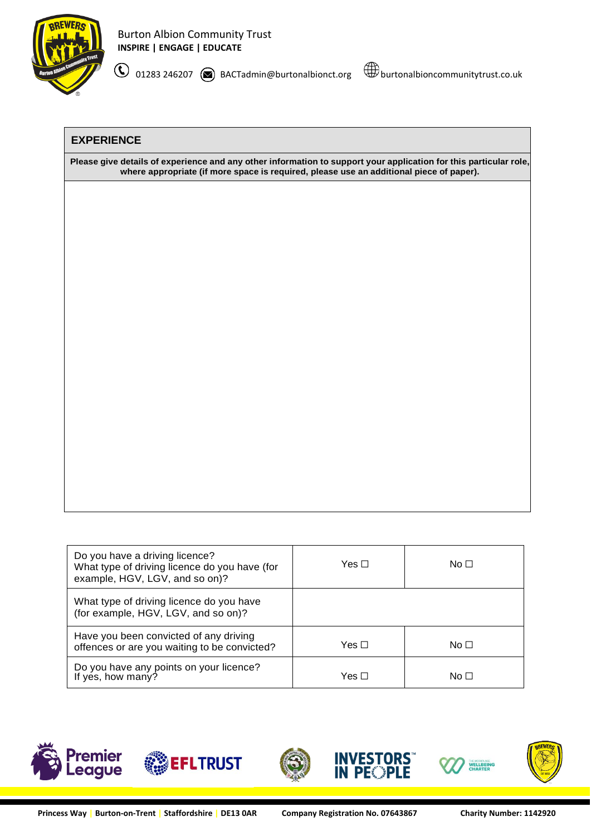

### **EXPERIENCE**

Please give details of experience and any other information to support your application for this particular role, **where appropriate (if more space is required, please use an additional piece of paper).**

| Do you have a driving licence?<br>What type of driving licence do you have (for<br>example, HGV, LGV, and so on)? | Yes $\Box$ | No $\Box$ |
|-------------------------------------------------------------------------------------------------------------------|------------|-----------|
| What type of driving licence do you have<br>(for example, HGV, LGV, and so on)?                                   |            |           |
| Have you been convicted of any driving<br>offences or are you waiting to be convicted?                            | Yes ⊓      | No $\Box$ |
| Do you have any points on your licence?<br>If yes, how many?                                                      | Yes ⊓      | No □      |









**VESTORS<br>PEQPLE**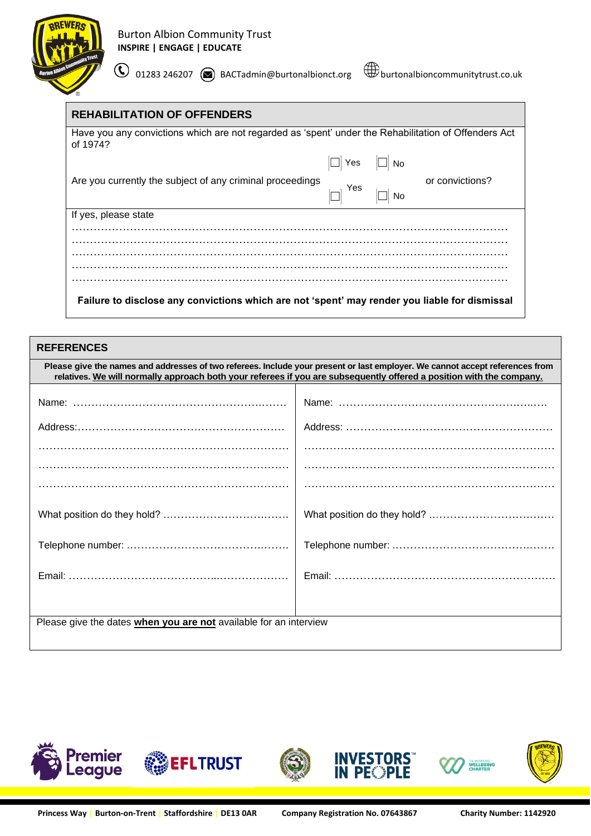

| <b>REHABILITATION OF OFFENDERS</b>                                                                               |                      |    |                 |
|------------------------------------------------------------------------------------------------------------------|----------------------|----|-----------------|
| Have you any convictions which are not regarded as 'spent' under the Rehabilitation of Offenders Act<br>of 1974? |                      |    |                 |
|                                                                                                                  | $\Box$ Yes $\Box$ No |    |                 |
| Are you currently the subject of any criminal proceedings                                                        | Yes                  | No | or convictions? |
| If yes, please state                                                                                             |                      |    |                 |
|                                                                                                                  |                      |    |                 |
|                                                                                                                  |                      |    |                 |
|                                                                                                                  |                      |    |                 |

**Failure to disclose any convictions which are not 'spent' may render you liable for dismissal**

| <b>REFERENCES</b>                                                                                                                                                                                                                                    |  |  |
|------------------------------------------------------------------------------------------------------------------------------------------------------------------------------------------------------------------------------------------------------|--|--|
| Please give the names and addresses of two referees. Include your present or last employer. We cannot accept references from<br>relatives. We will normally approach both your referees if you are subsequently offered a position with the company. |  |  |
|                                                                                                                                                                                                                                                      |  |  |
|                                                                                                                                                                                                                                                      |  |  |
|                                                                                                                                                                                                                                                      |  |  |
|                                                                                                                                                                                                                                                      |  |  |
|                                                                                                                                                                                                                                                      |  |  |
|                                                                                                                                                                                                                                                      |  |  |
|                                                                                                                                                                                                                                                      |  |  |
|                                                                                                                                                                                                                                                      |  |  |
|                                                                                                                                                                                                                                                      |  |  |
|                                                                                                                                                                                                                                                      |  |  |
|                                                                                                                                                                                                                                                      |  |  |
|                                                                                                                                                                                                                                                      |  |  |
| Please give the dates when you are not available for an interview                                                                                                                                                                                    |  |  |
|                                                                                                                                                                                                                                                      |  |  |

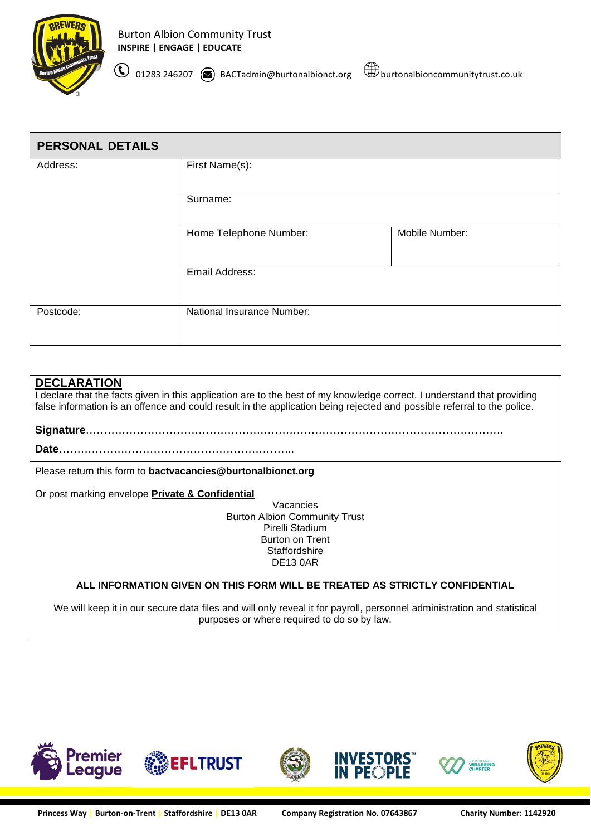

 $\bigcirc$  01283 246207  $\circledast$  BACTadmin@burtonalbionct.org  $\;\;\mathop\bigcirc\limits^{\bigcirc\limits^{\bigcirc\limits^{\bigcirc\limits^{\bigcirc\limits^{\bigcirc\limits^{\bigcirc\limits^{\bigcirc\limits^{\bigcirc\limits^{\bigcirc\limits^{\bigcirc\limits^{\bigcirc\limits^{\bigcirc\limits^{\bigcirc\limits^{\bigcirc\limits^{\bigcirc\limits^{\bigcirc\limits^{\bigcirc\limits^{\bigcirc\limits^{\bigcirc\limits^{\bigcirc\limits^{\bigcirc\limits^{\bigcirc\limits^{\bigcirc\limits^{\bigcirc\limits^{\bigcirc\limits^{\bigcirc\$ 

**PERSONAL DETAILS** Address: First Name(s): Surname: Home Telephone Number: Mobile Number: Email Address: Postcode: National Insurance Number:

#### **DECLARATION**

I declare that the facts given in this application are to the best of my knowledge correct. I understand that providing false information is an offence and could result in the application being rejected and possible referral to the police.

**Signature**…………………………………………………………………………………………………….

**Date**………………………………………………………..

Please return this form to **bactvacancies@burtonalbionct.org**

Or post marking envelope **Private & Confidential**

Vacancies Burton Albion Community Trust Pirelli Stadium Burton on Trent **Staffordshire** DE13 0AR

#### **ALL INFORMATION GIVEN ON THIS FORM WILL BE TREATED AS STRICTLY CONFIDENTIAL**

We will keep it in our secure data files and will only reveal it for payroll, personnel administration and statistical purposes or where required to do so by law.

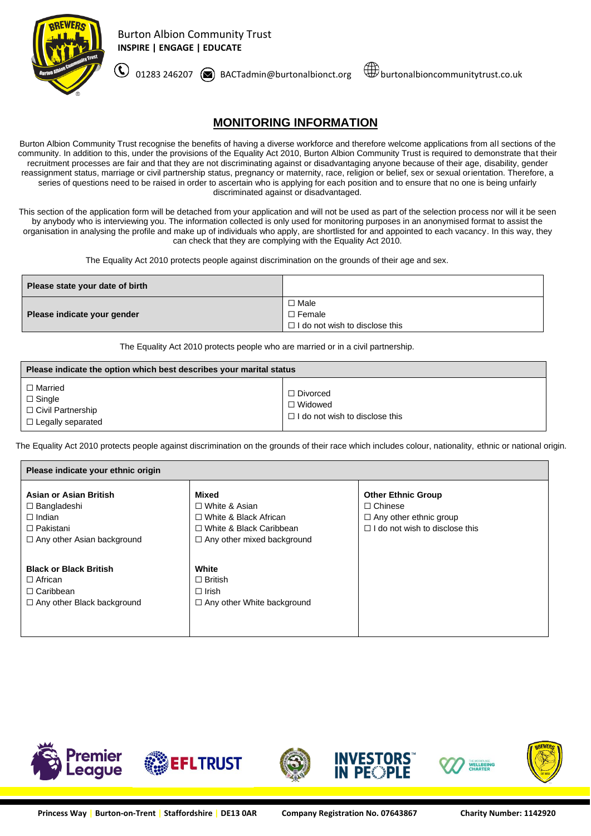

 $\bigodot$  01283 246207  $\circledast$  BACTadmin@burtonalbionct.org  $\;\;\mathop{\hbox{$\Downarrow$}}}$ burtonalbioncommunitytrust.co.uk

## **MONITORING INFORMATION**

Burton Albion Community Trust recognise the benefits of having a diverse workforce and therefore welcome applications from all sections of the community. In addition to this, under the provisions of the Equality Act 2010, Burton Albion Community Trust is required to demonstrate that their recruitment processes are fair and that they are not discriminating against or disadvantaging anyone because of their age, disability, gender reassignment status, marriage or civil partnership status, pregnancy or maternity, race, religion or belief, sex or sexual orientation. Therefore, a series of questions need to be raised in order to ascertain who is applying for each position and to ensure that no one is being unfairly discriminated against or disadvantaged.

This section of the application form will be detached from your application and will not be used as part of the selection process nor will it be seen by anybody who is interviewing you. The information collected is only used for monitoring purposes in an anonymised format to assist the organisation in analysing the profile and make up of individuals who apply, are shortlisted for and appointed to each vacancy. In this way, they can check that they are complying with the Equality Act 2010.

The Equality Act 2010 protects people against discrimination on the grounds of their age and sex.

| Please state your date of birth |                                       |  |
|---------------------------------|---------------------------------------|--|
| Please indicate your gender     | $\square$ Male<br>$\Box$ Female       |  |
|                                 | $\Box$ I do not wish to disclose this |  |

The Equality Act 2010 protects people who are married or in a civil partnership.

| Please indicate the option which best describes your marital status                |                                                                       |  |
|------------------------------------------------------------------------------------|-----------------------------------------------------------------------|--|
| $\Box$ Married<br>$\Box$ Single<br>□ Civil Partnership<br>$\Box$ Legally separated | □ Divorced<br>$\Box$ Widowed<br>$\Box$ I do not wish to disclose this |  |

The Equality Act 2010 protects people against discrimination on the grounds of their race which includes colour, nationality, ethnic or national origin.

| Please indicate your ethnic origin                                                                                     |                                                                                                                                      |                                                                                                                       |  |
|------------------------------------------------------------------------------------------------------------------------|--------------------------------------------------------------------------------------------------------------------------------------|-----------------------------------------------------------------------------------------------------------------------|--|
| Asian or Asian British<br>$\Box$ Bangladeshi<br>$\Box$ Indian<br>$\Box$ Pakistani<br>$\Box$ Any other Asian background | Mixed<br>$\Box$ White & Asian<br>$\Box$ White & Black African<br>$\Box$ White & Black Caribbean<br>$\Box$ Any other mixed background | <b>Other Ethnic Group</b><br>$\Box$ Chinese<br>$\Box$ Any other ethnic group<br>$\Box$ I do not wish to disclose this |  |
| <b>Black or Black British</b><br>$\Box$ African<br>$\Box$ Caribbean<br>$\Box$ Any other Black background               | White<br>$\Box$ British<br>$\Box$ Irish<br>$\Box$ Any other White background                                                         |                                                                                                                       |  |